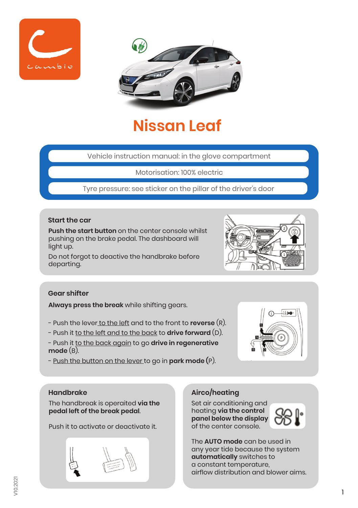



# **Nissan Leaf**

Vehicle instruction manual: in the glove compartment

Motorisation: 100% electric

Tyre pressure: see sticker on the pillar of the driver's door

#### **Start the car**

**Push the start button** on the center console whilst pushing on the brake pedal. The dashboard will light up.

Do not forgot to deactive the handbrake before departing.



#### **Gear shifter**

**Always press the break** while shifting gears.

- Push the lever to the left and to the front to **reverse** (R).
- Push it to the left and to the back to **drive forward** (D).
- Push it to the back again to go **drive in regenerative mode** (B).
- Push the button on the lever to go in **park mode (**P).



#### **Handbrake**

The handbreak is operaited **via the pedal left of the break pedal**.

Push it to activate or deactivate it.



# **Airco/heating**

Set air conditioning and heating **via the control panel below the display** of the center console.



The **AUTO mode** can be used in any year tide because the system **automatically** switches to a constant temperature, airflow distribution and blower aims.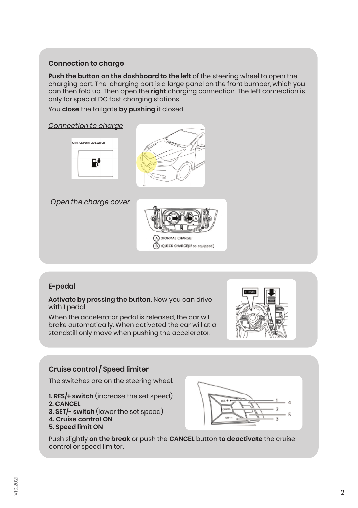### **Connection to charge**

**Push the button on the dashboard to the left** of the steering wheel to open the charging port. The charging port is a large panel on the front bumper, which you can then fold up. Then open the **right** charging connection. The left connection is only for special DC fast charging stations.

You **close** the tailgate **by pushing** it closed.

#### *Connection to charge*





*Open the charge cover*



#### **E-pedal**

**Activate by pressing the button.** Now you can drive with 1 pedal.

When the accelerator pedal is released, the car will brake automatically. When activated the car will at a standstill only move when pushing the accelerator.



#### **Cruise control / Speed limiter**

The switches are on the steering wheel.

**1. RES/+ switch** (increase the set speed)

- **2. CANCEL**
- **3. SET/- switch** (lower the set speed)
- **4. Cruise control ON**
- **5. Speed limit ON**



Push slightly **on the break** or push the **CANCEL** button **to deactivate** the cruise control or speed limiter.